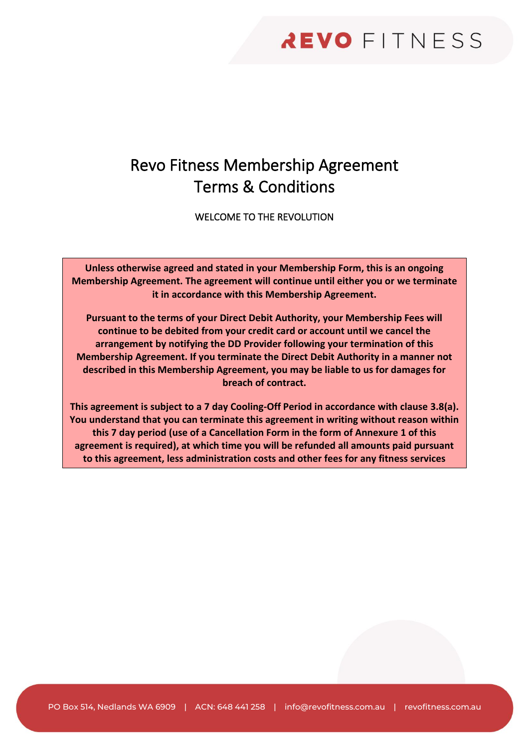# Revo Fitness Membership Agreement Terms & Conditions

WELCOME TO THE REVOLUTION

**Unless otherwise agreed and stated in your Membership Form, this is an ongoing Membership Agreement. The agreement will continue until either you or we terminate it in accordance with this Membership Agreement.**

**Pursuant to the terms of your Direct Debit Authority, your Membership Fees will continue to be debited from your credit card or account until we cancel the arrangement by notifying the DD Provider following your termination of this Membership Agreement. If you terminate the Direct Debit Authority in a manner not described in this Membership Agreement, you may be liable to us for damages for breach of contract.**

**This agreement is subject to a 7 day Cooling-Off Period in accordance with clause [3.8\(a\).](#page-11-0) You understand that you can terminate this agreement in writing without reason within this 7 day period (use of a Cancellation Form in the form of Annexure 1 of this agreement is required), at which time you will be refunded all amounts paid pursuant to this agreement, less administration costs and other fees for any fitness services** 

**provided as specified in this Membership Agreement. After this period ends, you**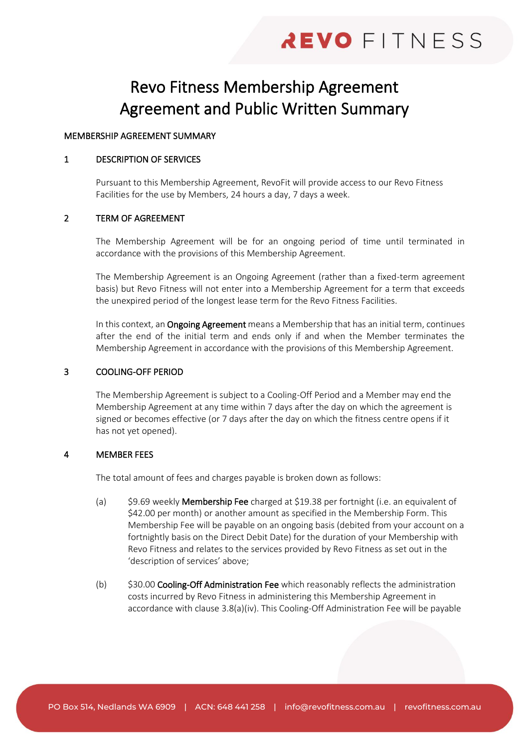# Revo Fitness Membership Agreement Agreement and Public Written Summary

# MEMBERSHIP AGREEMENT SUMMARY

### 1 DESCRIPTION OF SERVICES

Pursuant to this Membership Agreement, RevoFit will provide access to our Revo Fitness Facilities for the use by Members, 24 hours a day, 7 days a week.

# 2 TERM OF AGREEMENT

The Membership Agreement will be for an ongoing period of time until terminated in accordance with the provisions of this Membership Agreement.

The Membership Agreement is an Ongoing Agreement (rather than a fixed-term agreement basis) but Revo Fitness will not enter into a Membership Agreement for a term that exceeds the unexpired period of the longest lease term for the Revo Fitness Facilities.

In this context, an Ongoing Agreement means a Membership that has an initial term, continues after the end of the initial term and ends only if and when the Member terminates the Membership Agreement in accordance with the provisions of this Membership Agreement.

# 3 COOLING-OFF PERIOD

The Membership Agreement is subject to a Cooling-Off Period and a Member may end the Membership Agreement at any time within 7 days after the day on which the agreement is signed or becomes effective (or 7 days after the day on which the fitness centre opens if it has not yet opened).

# 4 MEMBER FEES

The total amount of fees and charges payable is broken down as follows:

- (a) \$9.69 weekly Membership Fee charged at \$19.38 per fortnight (i.e. an equivalent of \$42.00 per month) or another amount as specified in the Membership Form. This Membership Fee will be payable on an ongoing basis (debited from your account on a fortnightly basis on the Direct Debit Date) for the duration of your Membership with Revo Fitness and relates to the services provided by Revo Fitness as set out in the 'description of services' above;
- (b) \$30.00 Cooling-Off Administration Fee which reasonably reflects the administration costs incurred by Revo Fitness in administering this Membership Agreement in accordance with clause [3.8\(a\)\(iv\).](#page-11-1) This Cooling-Off Administration Fee will be payable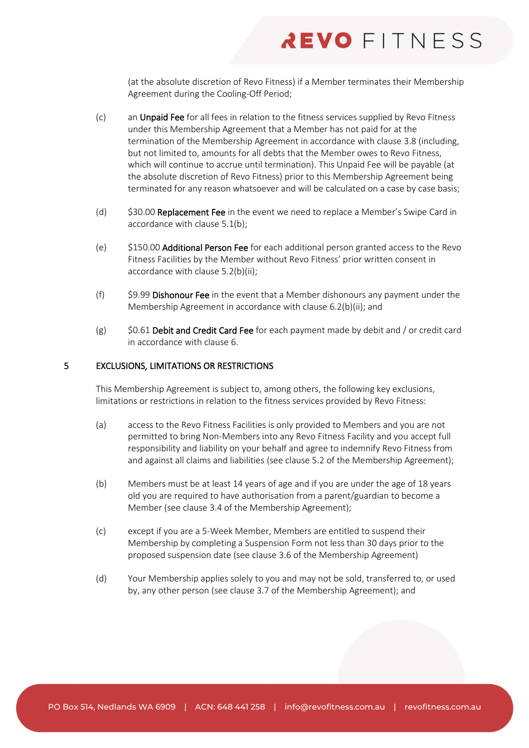(at the absolute discretion of Revo Fitness) if a Member terminates their Membership Agreement during the Cooling-Off Period;

- (c) an Unpaid Fee for all fees in relation to the fitness services supplied by Revo Fitness under this Membership Agreement that a Member has not paid for at the termination of the Membership Agreement in accordance with claus[e 3.8](#page-11-2) (including, but not limited to, amounts for all debts that the Member owes to Revo Fitness, which will continue to accrue until termination). This Unpaid Fee will be payable (at the absolute discretion of Revo Fitness) prior to this Membership Agreement being terminated for any reason whatsoever and will be calculated on a case by case basis;
- (d) \$30.00 Replacement Fee in the event we need to replace a Member's Swipe Card in accordance with clause [5.1\(b\);](#page-15-0)
- (e) \$150.00 Additional Person Fee for each additional person granted access to the Revo Fitness Facilities by the Member without Revo Fitness' prior written consent in accordance with clause [5.2\(b\)\(ii\);](#page-15-1)
- (f) \$9.99 Dishonour Fee in the event that a Member dishonours any payment under the Membership Agreement in accordance with clause [6.2\(b\)\(ii\);](#page-19-0) and
- (g)  $$0.61$  Debit and Credit Card Fee for each payment made by debit and / or credit card in accordance with clause [6.](#page-17-0)

### 5 EXCLUSIONS, LIMITATIONS OR RESTRICTIONS

This Membership Agreement is subject to, among others, the following key exclusions, limitations or restrictions in relation to the fitness services provided by Revo Fitness:

- (a) access to the Revo Fitness Facilities is only provided to Members and you are not permitted to bring Non-Members into any Revo Fitness Facility and you accept full responsibility and liability on your behalf and agree to indemnify Revo Fitness from and against all claims and liabilities (see clause [5.2](#page-15-2) of the Membership Agreement);
- (b) Members must be at least 14 years of age and if you are under the age of 18 years old you are required to have authorisation from a parent/guardian to become a Member (see clause [3.4](#page-9-0) of the Membership Agreement);
- (c) except if you are a 5-Week Member, Members are entitled to suspend their Membership by completing a Suspension Form not less than 30 days prior to the proposed suspension date (see clause [3.6](#page-10-0) of the Membership Agreement)
- (d) Your Membership applies solely to you and may not be sold, transferred to, or used by, any other person (see clause [3.7](#page-11-3) of the Membership Agreement); and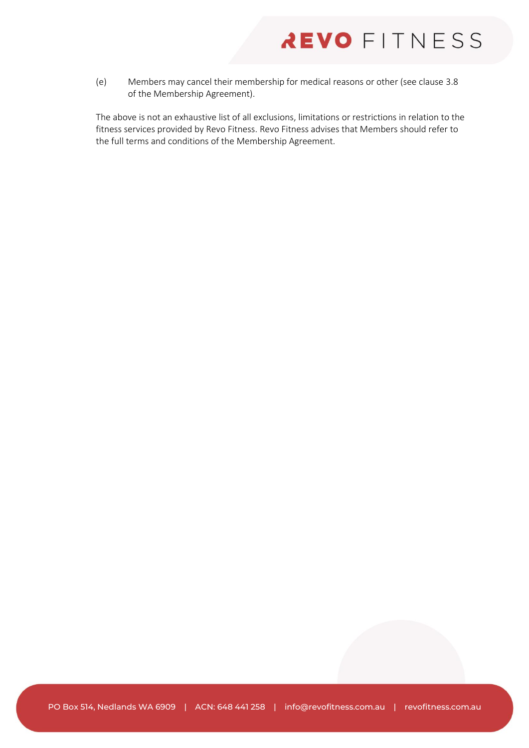(e) Members may cancel their membership for medical reasons or other (see clause [3.8](#page-11-2) of the Membership Agreement).

The above is not an exhaustive list of all exclusions, limitations or restrictions in relation to the fitness services provided by Revo Fitness. Revo Fitness advises that Members should refer to the full terms and conditions of the Membership Agreement.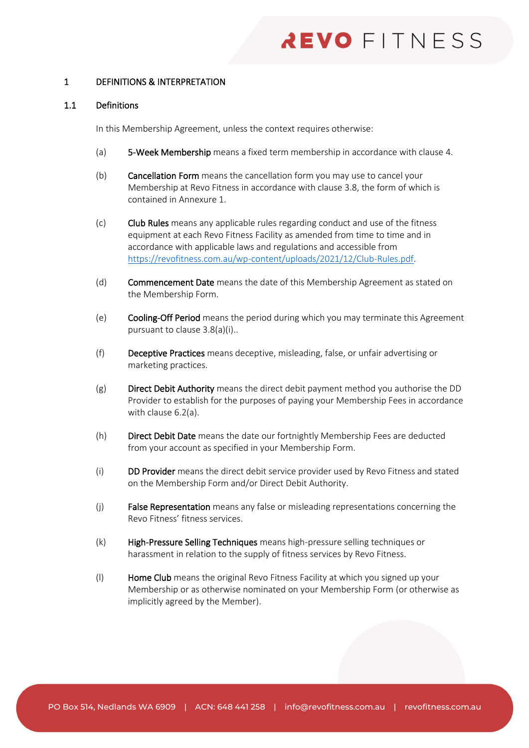## 1 DEFINITIONS & INTERPRETATION

#### 1.1 Definitions

In this Membership Agreement, unless the context requires otherwise:

- (a) 5-Week Membership means a fixed term membership in accordance with claus[e 4.](#page-14-0)
- (b) Cancellation Form means the cancellation form you may use to cancel your Membership at Revo Fitness in accordance with clause [3.8,](#page-11-2) the form of which is contained in Annexure 1.
- (c) Club Rules means any applicable rules regarding conduct and use of the fitness equipment at each Revo Fitness Facility as amended from time to time and in accordance with applicable laws and regulations and accessible from [https://revofitness.com.au/wp-content/uploads/2021/12/Club-Rules.pdf.](https://revofitness.com.au/wp-content/uploads/2021/12/Club-Rules.pdf)
- (d) Commencement Date means the date of this Membership Agreement as stated on the Membership Form.
- (e) Cooling-Off Period means the period during which you may terminate this Agreement pursuant to clause [3.8\(a\)\(i\).](#page-11-4).
- (f) Deceptive Practices means deceptive, misleading, false, or unfair advertising or marketing practices.
- $(g)$  Direct Debit Authority means the direct debit payment method you authorise the DD Provider to establish for the purposes of paying your Membership Fees in accordance with clause [6.2\(a\).](#page-18-0)
- (h) Direct Debit Date means the date our fortnightly Membership Fees are deducted from your account as specified in your Membership Form.
- (i) DD Provider means the direct debit service provider used by Revo Fitness and stated on the Membership Form and/or Direct Debit Authority.
- (j) False Representation means any false or misleading representations concerning the Revo Fitness' fitness services.
- (k) High-Pressure Selling Techniques means high-pressure selling techniques or harassment in relation to the supply of fitness services by Revo Fitness.
- (I) Home Club means the original Revo Fitness Facility at which you signed up your Membership or as otherwise nominated on your Membership Form (or otherwise as implicitly agreed by the Member).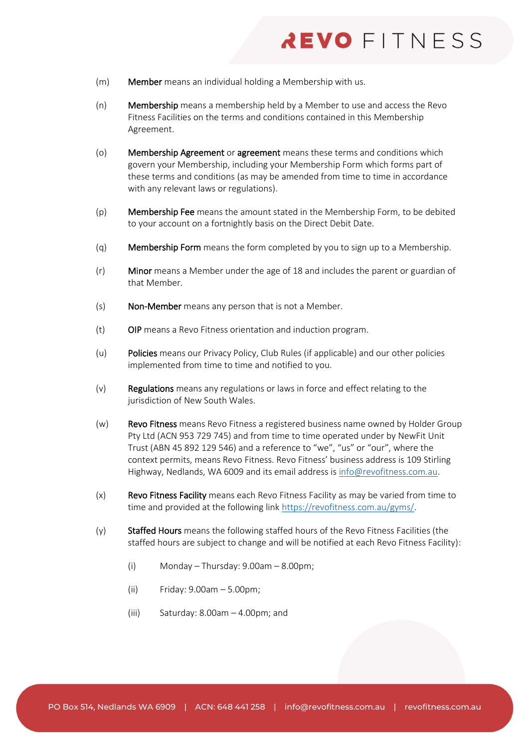- (m) Member means an individual holding a Membership with us.
- (n) Membership means a membership held by a Member to use and access the Revo Fitness Facilities on the terms and conditions contained in this Membership Agreement.
- (o) Membership Agreement or agreement means these terms and conditions which govern your Membership, including your Membership Form which forms part of these terms and conditions (as may be amended from time to time in accordance with any relevant laws or regulations).
- (p) Membership Fee means the amount stated in the Membership Form, to be debited to your account on a fortnightly basis on the Direct Debit Date.
- (q) Membership Form means the form completed by you to sign up to a Membership.
- (r) Minor means a Member under the age of 18 and includes the parent or guardian of that Member.
- (s) Non-Member means any person that is not a Member.
- (t) OIP means a Revo Fitness orientation and induction program.
- (u) Policies means our Privacy Policy, Club Rules (if applicable) and our other policies implemented from time to time and notified to you.
- $(v)$  Regulations means any regulations or laws in force and effect relating to the jurisdiction of New South Wales.
- (w) Revo Fitness means Revo Fitness a registered business name owned by Holder Group Pty Ltd (ACN 953 729 745) and from time to time operated under by NewFit Unit Trust (ABN 45 892 129 546) and a reference to "we", "us" or "our", where the context permits, means Revo Fitness. Revo Fitness' business address is 109 Stirling Highway, Nedlands, WA 6009 and its email address is [info@revofitness.com.au.](mailto:info@revofitness.com.au)
- (x) Revo Fitness Facility means each Revo Fitness Facility as may be varied from time to time and provided at the following link [https://revofitness.com.au/gyms/.](https://revofitness.com.au/gyms/)
- (y) Staffed Hours means the following staffed hours of the Revo Fitness Facilities (the staffed hours are subject to change and will be notified at each Revo Fitness Facility):
	- (i) Monday Thursday: 9.00am 8.00pm;
	- (ii) Friday: 9.00am 5.00pm;
	- (iii) Saturday: 8.00am 4.00pm; and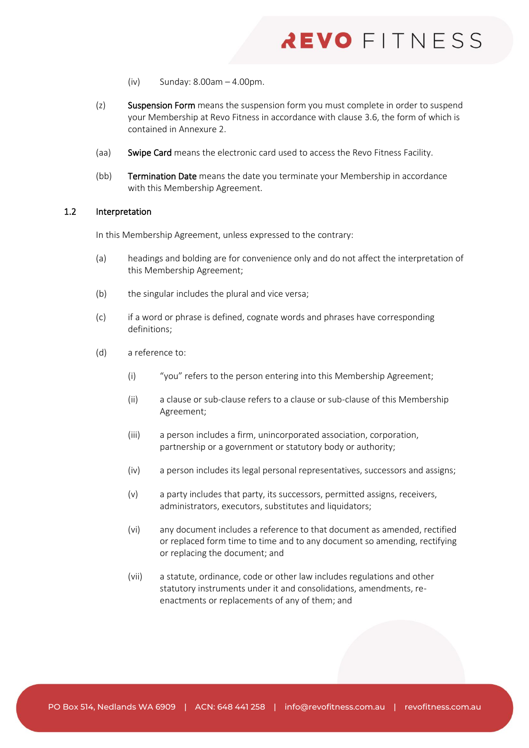- (iv) Sunday: 8.00am 4.00pm.
- (z) Suspension Form means the suspension form you must complete in order to suspend your Membership at Revo Fitness in accordance with clause [3.6,](#page-10-0) the form of which is contained in Annexure 2.
- (aa) Swipe Card means the electronic card used to access the Revo Fitness Facility.
- (bb) Termination Date means the date you terminate your Membership in accordance with this Membership Agreement.

# 1.2 Interpretation

In this Membership Agreement, unless expressed to the contrary:

- (a) headings and bolding are for convenience only and do not affect the interpretation of this Membership Agreement;
- (b) the singular includes the plural and vice versa;
- (c) if a word or phrase is defined, cognate words and phrases have corresponding definitions;
- (d) a reference to:
	- (i) "you" refers to the person entering into this Membership Agreement;
	- (ii) a clause or sub-clause refers to a clause or sub-clause of this Membership Agreement;
	- (iii) a person includes a firm, unincorporated association, corporation, partnership or a government or statutory body or authority;
	- (iv) a person includes its legal personal representatives, successors and assigns;
	- (v) a party includes that party, its successors, permitted assigns, receivers, administrators, executors, substitutes and liquidators;
	- (vi) any document includes a reference to that document as amended, rectified or replaced form time to time and to any document so amending, rectifying or replacing the document; and
	- (vii) a statute, ordinance, code or other law includes regulations and other statutory instruments under it and consolidations, amendments, reenactments or replacements of any of them; and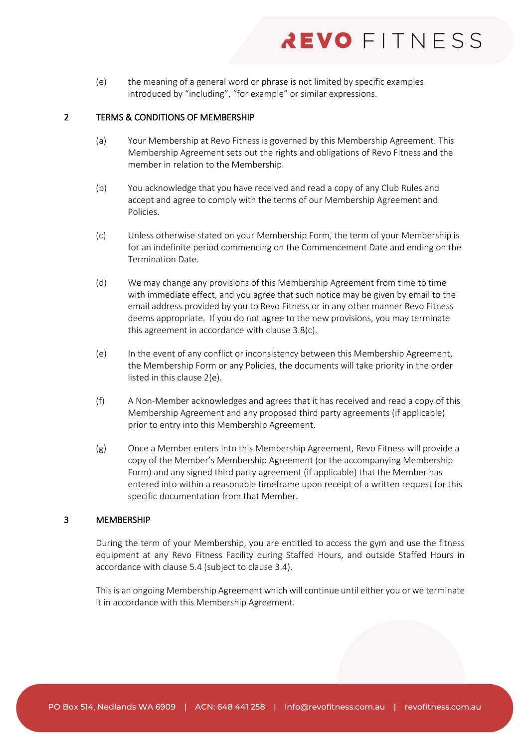(e) the meaning of a general word or phrase is not limited by specific examples introduced by "including", "for example" or similar expressions.

# 2 TERMS & CONDITIONS OF MEMBERSHIP

- (a) Your Membership at Revo Fitness is governed by this Membership Agreement. This Membership Agreement sets out the rights and obligations of Revo Fitness and the member in relation to the Membership.
- (b) You acknowledge that you have received and read a copy of any Club Rules and accept and agree to comply with the terms of our Membership Agreement and Policies.
- (c) Unless otherwise stated on your Membership Form, the term of your Membership is for an indefinite period commencing on the Commencement Date and ending on the Termination Date.
- (d) We may change any provisions of this Membership Agreement from time to time with immediate effect, and you agree that such notice may be given by email to the email address provided by you to Revo Fitness or in any other manner Revo Fitness deems appropriate. If you do not agree to the new provisions, you may terminate this agreement in accordance with clause [3.8\(c\).](#page-12-0)
- <span id="page-7-0"></span>(e) In the event of any conflict or inconsistency between this Membership Agreement, the Membership Form or any Policies, the documents will take priority in the order listed in this clause [2\(e\).](#page-7-0)
- (f) A Non-Member acknowledges and agrees that it has received and read a copy of this Membership Agreement and any proposed third party agreements (if applicable) prior to entry into this Membership Agreement.
- (g) Once a Member enters into this Membership Agreement, Revo Fitness will provide a copy of the Member's Membership Agreement (or the accompanying Membership Form) and any signed third party agreement (if applicable) that the Member has entered into within a reasonable timeframe upon receipt of a written request for this specific documentation from that Member.

# 3 MEMBERSHIP

During the term of your Membership, you are entitled to access the gym and use the fitness equipment at any Revo Fitness Facility during Staffed Hours, and outside Staffed Hours in accordance with clause [5.4](#page-17-1) (subject to claus[e 3.4\)](#page-9-0).

This is an ongoing Membership Agreement which will continue until either you or we terminate it in accordance with this Membership Agreement.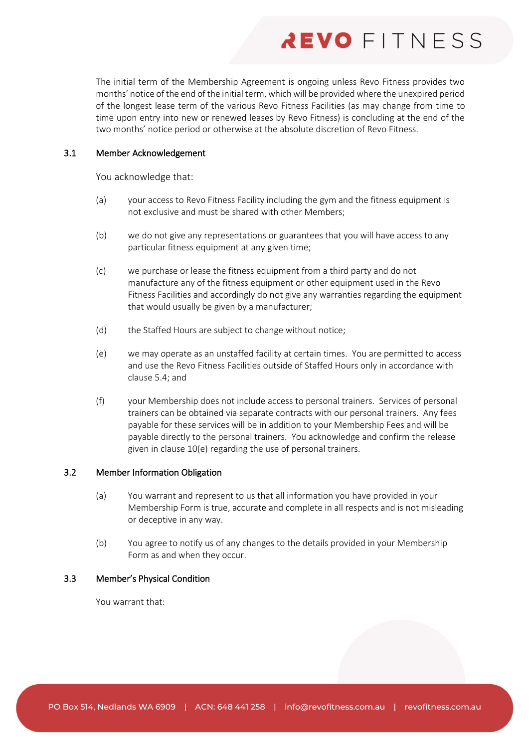The initial term of the Membership Agreement is ongoing unless Revo Fitness provides two months' notice of the end of the initial term, which will be provided where the unexpired period of the longest lease term of the various Revo Fitness Facilities (as may change from time to time upon entry into new or renewed leases by Revo Fitness) is concluding at the end of the two months' notice period or otherwise at the absolute discretion of Revo Fitness.

# 3.1 Member Acknowledgement

You acknowledge that:

- (a) your access to Revo Fitness Facility including the gym and the fitness equipment is not exclusive and must be shared with other Members;
- (b) we do not give any representations or guarantees that you will have access to any particular fitness equipment at any given time;
- (c) we purchase or lease the fitness equipment from a third party and do not manufacture any of the fitness equipment or other equipment used in the Revo Fitness Facilities and accordingly do not give any warranties regarding the equipment that would usually be given by a manufacturer;
- (d) the Staffed Hours are subject to change without notice;
- (e) we may operate as an unstaffed facility at certain times. You are permitted to access and use the Revo Fitness Facilities outside of Staffed Hours only in accordance with clause [5.4;](#page-17-1) and
- (f) your Membership does not include access to personal trainers. Services of personal trainers can be obtained via separate contracts with our personal trainers. Any fees payable for these services will be in addition to your Membership Fees and will be payable directly to the personal trainers. You acknowledge and confirm the release given in clause [10\(e\)](#page-22-0) regarding the use of personal trainers.

# <span id="page-8-0"></span>3.2 Member Information Obligation

- (a) You warrant and represent to us that all information you have provided in your Membership Form is true, accurate and complete in all respects and is not misleading or deceptive in any way.
- (b) You agree to notify us of any changes to the details provided in your Membership Form as and when they occur.

# 3.3 Member's Physical Condition

You warrant that: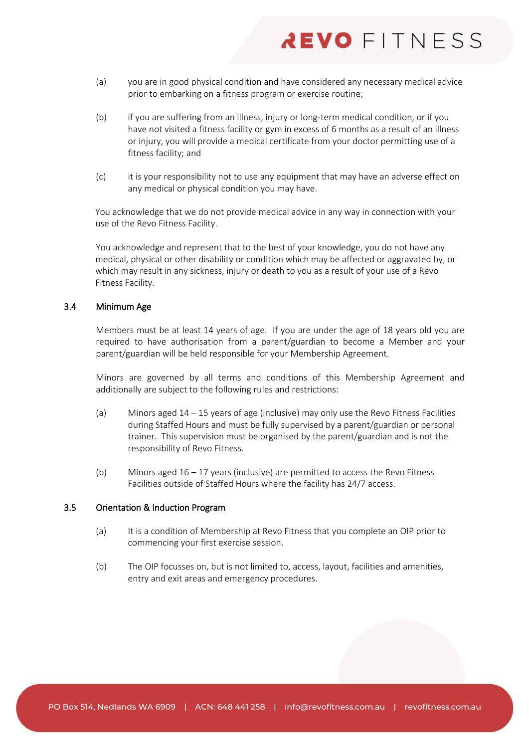- (a) you are in good physical condition and have considered any necessary medical advice prior to embarking on a fitness program or exercise routine;
- (b) if you are suffering from an illness, injury or long-term medical condition, or if you have not visited a fitness facility or gym in excess of 6 months as a result of an illness or injury, you will provide a medical certificate from your doctor permitting use of a fitness facility; and
- (c) it is your responsibility not to use any equipment that may have an adverse effect on any medical or physical condition you may have.

You acknowledge that we do not provide medical advice in any way in connection with your use of the Revo Fitness Facility.

You acknowledge and represent that to the best of your knowledge, you do not have any medical, physical or other disability or condition which may be affected or aggravated by, or which may result in any sickness, injury or death to you as a result of your use of a Revo Fitness Facility.

### <span id="page-9-0"></span>3.4 Minimum Age

Members must be at least 14 years of age. If you are under the age of 18 years old you are required to have authorisation from a parent/guardian to become a Member and your parent/guardian will be held responsible for your Membership Agreement.

Minors are governed by all terms and conditions of this Membership Agreement and additionally are subject to the following rules and restrictions:

- (a) Minors aged 14 15 years of age (inclusive) may only use the Revo Fitness Facilities during Staffed Hours and must be fully supervised by a parent/guardian or personal trainer. This supervision must be organised by the parent/guardian and is not the responsibility of Revo Fitness.
- (b) Minors aged  $16 17$  years (inclusive) are permitted to access the Revo Fitness Facilities outside of Staffed Hours where the facility has 24/7 access.

### <span id="page-9-1"></span>3.5 Orientation & Induction Program

- (a) It is a condition of Membership at Revo Fitness that you complete an OIP prior to commencing your first exercise session.
- (b) The OIP focusses on, but is not limited to, access, layout, facilities and amenities, entry and exit areas and emergency procedures.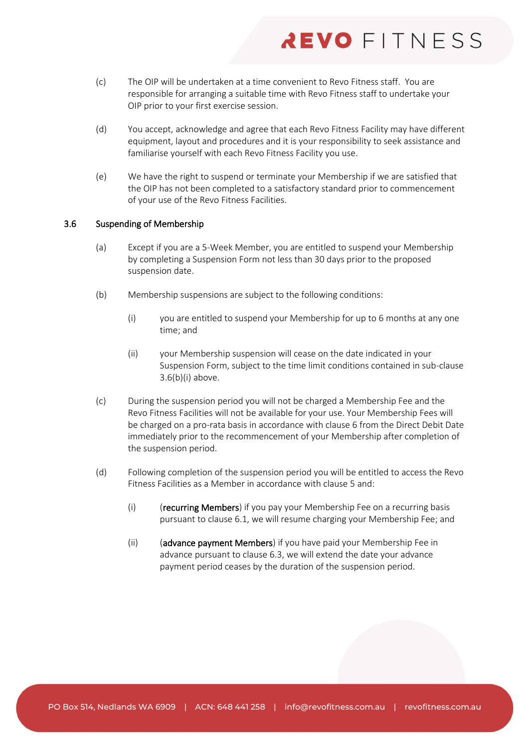- (c) The OIP will be undertaken at a time convenient to Revo Fitness staff. You are responsible for arranging a suitable time with Revo Fitness staff to undertake your OIP prior to your first exercise session.
- (d) You accept, acknowledge and agree that each Revo Fitness Facility may have different equipment, layout and procedures and it is your responsibility to seek assistance and familiarise yourself with each Revo Fitness Facility you use.
- (e) We have the right to suspend or terminate your Membership if we are satisfied that the OIP has not been completed to a satisfactory standard prior to commencement of your use of the Revo Fitness Facilities.

### <span id="page-10-0"></span>3.6 Suspending of Membership

- (a) Except if you are a 5-Week Member, you are entitled to suspend your Membership by completing a Suspension Form not less than 30 days prior to the proposed suspension date.
- <span id="page-10-2"></span><span id="page-10-1"></span>(b) Membership suspensions are subject to the following conditions:
	- (i) you are entitled to suspend your Membership for up to 6 months at any one time; and
	- (ii) your Membership suspension will cease on the date indicated in your Suspension Form, subject to the time limit conditions contained in sub-clause [3.6\(b\)\(i\)](#page-10-1) above.
- (c) During the suspension period you will not be charged a Membership Fee and the Revo Fitness Facilities will not be available for your use. Your Membership Fees will be charged on a pro-rata basis in accordance with claus[e 6](#page-17-0) from the Direct Debit Date immediately prior to the recommencement of your Membership after completion of the suspension period.
- (d) Following completion of the suspension period you will be entitled to access the Revo Fitness Facilities as a Member in accordance with clause [5](#page-15-3) and:
	- (i) (recurring Members) if you pay your Membership Fee on a recurring basis pursuant to clause [6.1,](#page-17-2) we will resume charging your Membership Fee; and
	- (ii) (advance payment Members) if you have paid your Membership Fee in advance pursuant to clause [6.3,](#page-19-1) we will extend the date your advance payment period ceases by the duration of the suspension period.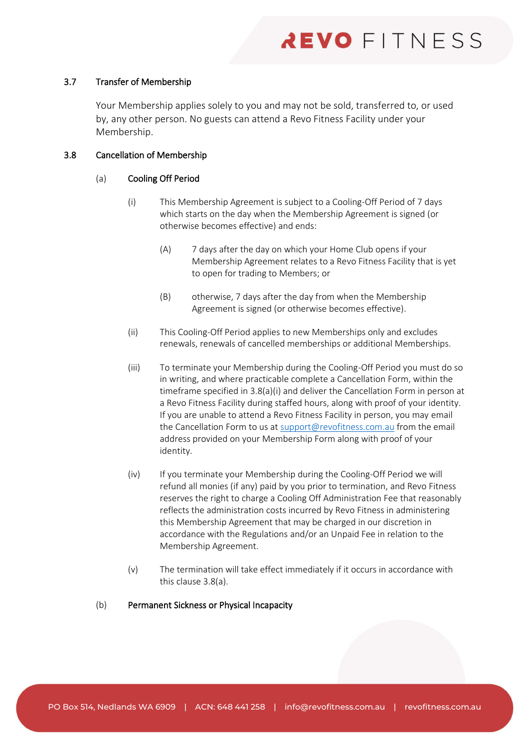# <span id="page-11-3"></span>3.7 Transfer of Membership

Your Membership applies solely to you and may not be sold, transferred to, or used by, any other person. No guests can attend a Revo Fitness Facility under your Membership.

# <span id="page-11-2"></span><span id="page-11-0"></span>3.8 Cancellation of Membership

# <span id="page-11-4"></span>(a) Cooling Off Period

- (i) This Membership Agreement is subject to a Cooling-Off Period of 7 days which starts on the day when the Membership Agreement is signed (or otherwise becomes effective) and ends:
	- (A) 7 days after the day on which your Home Club opens if your Membership Agreement relates to a Revo Fitness Facility that is yet to open for trading to Members; or
	- (B) otherwise, 7 days after the day from when the Membership Agreement is signed (or otherwise becomes effective).
- (ii) This Cooling-Off Period applies to new Memberships only and excludes renewals, renewals of cancelled memberships or additional Memberships.
- (iii) To terminate your Membership during the Cooling-Off Period you must do so in writing, and where practicable complete a Cancellation Form, within the timeframe specified i[n 3.8\(a\)\(i\)](#page-11-4) and deliver the Cancellation Form in person at a Revo Fitness Facility during staffed hours, along with proof of your identity. If you are unable to attend a Revo Fitness Facility in person, you may email the Cancellation Form to us a[t support@revofitness.com.au](mailto:support@revofitness.com.au) from the email address provided on your Membership Form along with proof of your identity.
- <span id="page-11-1"></span>(iv) If you terminate your Membership during the Cooling-Off Period we will refund all monies (if any) paid by you prior to termination, and Revo Fitness reserves the right to charge a Cooling Off Administration Fee that reasonably reflects the administration costs incurred by Revo Fitness in administering this Membership Agreement that may be charged in our discretion in accordance with the Regulations and/or an Unpaid Fee in relation to the Membership Agreement.
- (v) The termination will take effect immediately if it occurs in accordance with this claus[e 3.8\(a\).](#page-11-0)

### <span id="page-11-5"></span>(b) Permanent Sickness or Physical Incapacity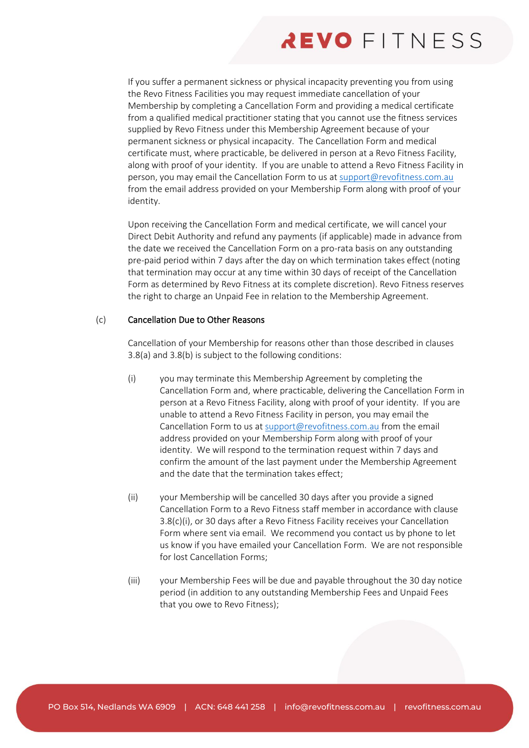If you suffer a permanent sickness or physical incapacity preventing you from using the Revo Fitness Facilities you may request immediate cancellation of your Membership by completing a Cancellation Form and providing a medical certificate from a qualified medical practitioner stating that you cannot use the fitness services supplied by Revo Fitness under this Membership Agreement because of your permanent sickness or physical incapacity. The Cancellation Form and medical certificate must, where practicable, be delivered in person at a Revo Fitness Facility, along with proof of your identity. If you are unable to attend a Revo Fitness Facility in person, you may email the Cancellation Form to us at [support@revofitness.com.au](mailto:support@revofitness.com.au) from the email address provided on your Membership Form along with proof of your identity.

Upon receiving the Cancellation Form and medical certificate, we will cancel your Direct Debit Authority and refund any payments (if applicable) made in advance from the date we received the Cancellation Form on a pro-rata basis on any outstanding pre-paid period within 7 days after the day on which termination takes effect (noting that termination may occur at any time within 30 days of receipt of the Cancellation Form as determined by Revo Fitness at its complete discretion). Revo Fitness reserves the right to charge an Unpaid Fee in relation to the Membership Agreement.

### <span id="page-12-0"></span>(c) Cancellation Due to Other Reasons

Cancellation of your Membership for reasons other than those described in clauses [3.8\(a\)](#page-11-0) and [3.8\(b\)](#page-11-5) is subject to the following conditions:

- <span id="page-12-1"></span>(i) you may terminate this Membership Agreement by completing the Cancellation Form and, where practicable, delivering the Cancellation Form in person at a Revo Fitness Facility, along with proof of your identity. If you are unable to attend a Revo Fitness Facility in person, you may email the Cancellation Form to us at [support@revofitness.com.au](mailto:support@revofitness.com.au) from the email address provided on your Membership Form along with proof of your identity. We will respond to the termination request within 7 days and confirm the amount of the last payment under the Membership Agreement and the date that the termination takes effect;
- (ii) your Membership will be cancelled 30 days after you provide a signed Cancellation Form to a Revo Fitness staff member in accordance with clause [3.8\(c\)\(i\),](#page-12-1) or 30 days after a Revo Fitness Facility receives your Cancellation Form where sent via email. We recommend you contact us by phone to let us know if you have emailed your Cancellation Form. We are not responsible for lost Cancellation Forms;
- (iii) your Membership Fees will be due and payable throughout the 30 day notice period (in addition to any outstanding Membership Fees and Unpaid Fees that you owe to Revo Fitness);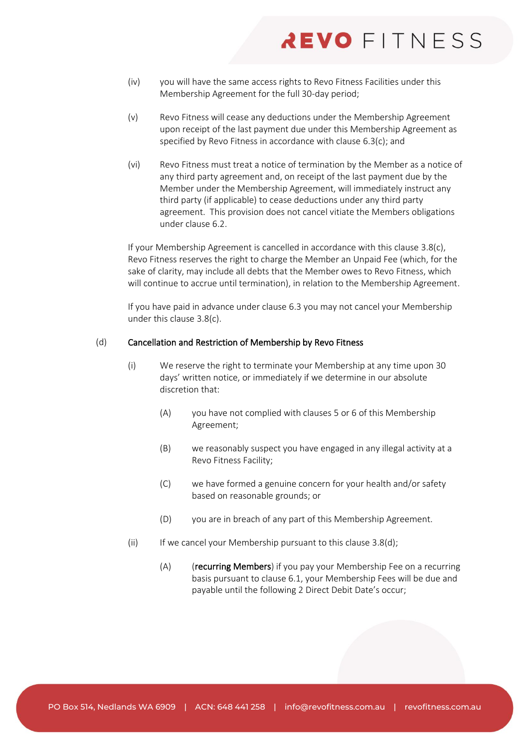- (iv) you will have the same access rights to Revo Fitness Facilities under this Membership Agreement for the full 30-day period;
- (v) Revo Fitness will cease any deductions under the Membership Agreement upon receipt of the last payment due under this Membership Agreement as specified by Revo Fitness in accordance with claus[e 6.3\(c\);](#page-19-2) and
- (vi) Revo Fitness must treat a notice of termination by the Member as a notice of any third party agreement and, on receipt of the last payment due by the Member under the Membership Agreement, will immediately instruct any third party (if applicable) to cease deductions under any third party agreement. This provision does not cancel vitiate the Members obligations under clause [6.2.](#page-18-1)

If your Membership Agreement is cancelled in accordance with this clause [3.8\(c\),](#page-12-0) Revo Fitness reserves the right to charge the Member an Unpaid Fee (which, for the sake of clarity, may include all debts that the Member owes to Revo Fitness, which will continue to accrue until termination), in relation to the Membership Agreement.

If you have paid in advance under clause [6.3](#page-19-1) you may not cancel your Membership under this claus[e 3.8\(c\).](#page-12-0)

### <span id="page-13-0"></span>(d) Cancellation and Restriction of Membership by Revo Fitness

- (i) We reserve the right to terminate your Membership at any time upon 30 days' written notice, or immediately if we determine in our absolute discretion that:
	- (A) you have not complied with clause[s 5](#page-15-3) or [6](#page-17-0) of this Membership Agreement;
	- (B) we reasonably suspect you have engaged in any illegal activity at a Revo Fitness Facility;
	- (C) we have formed a genuine concern for your health and/or safety based on reasonable grounds; or
	- (D) you are in breach of any part of this Membership Agreement.
- (ii) If we cancel your Membership pursuant to this clause  $3.8(d)$ ;
	- (A) (recurring Members) if you pay your Membership Fee on a recurring basis pursuant to claus[e 6.1,](#page-17-2) your Membership Fees will be due and payable until the following 2 Direct Debit Date's occur;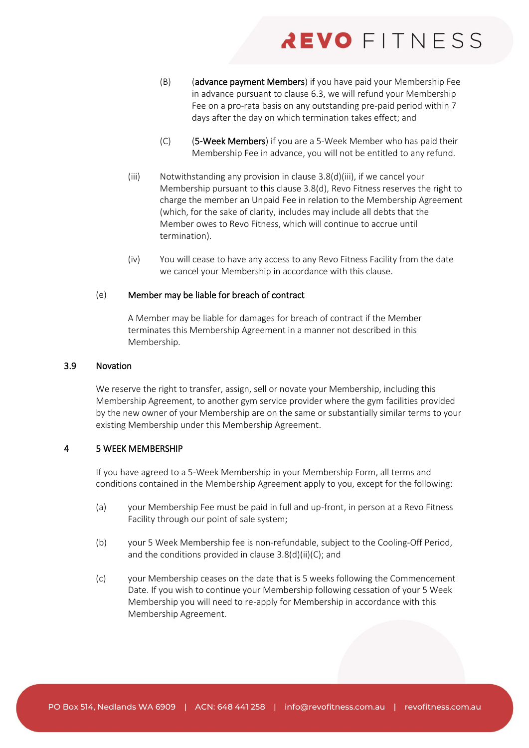- <span id="page-14-3"></span>(B) (advance payment Members) if you have paid your Membership Fee in advance pursuant to clause [6.3,](#page-19-1) we will refund your Membership Fee on a pro-rata basis on any outstanding pre-paid period within 7 days after the day on which termination takes effect; and
- (C) (5-Week Members) if you are a 5-Week Member who has paid their Membership Fee in advance, you will not be entitled to any refund.
- <span id="page-14-2"></span><span id="page-14-1"></span>(iii) Notwithstanding any provision in clause [3.8\(d\)\(iii\),](#page-14-1) if we cancel your Membership pursuant to this claus[e 3.8\(d\),](#page-13-0) Revo Fitness reserves the right to charge the member an Unpaid Fee in relation to the Membership Agreement (which, for the sake of clarity, includes may include all debts that the Member owes to Revo Fitness, which will continue to accrue until termination).
- (iv) You will cease to have any access to any Revo Fitness Facility from the date we cancel your Membership in accordance with this clause.

### (e) Member may be liable for breach of contract

A Member may be liable for damages for breach of contract if the Member terminates this Membership Agreement in a manner not described in this Membership.

### 3.9 Novation

We reserve the right to transfer, assign, sell or novate your Membership, including this Membership Agreement, to another gym service provider where the gym facilities provided by the new owner of your Membership are on the same or substantially similar terms to your existing Membership under this Membership Agreement.

# <span id="page-14-0"></span>4 5 WEEK MEMBERSHIP

If you have agreed to a 5-Week Membership in your Membership Form, all terms and conditions contained in the Membership Agreement apply to you, except for the following:

- (a) your Membership Fee must be paid in full and up-front, in person at a Revo Fitness Facility through our point of sale system;
- (b) your 5 Week Membership fee is non-refundable, subject to the Cooling-Off Period, and the conditions provided in claus[e 3.8\(d\)\(ii\)\(C\);](#page-14-2) and
- (c) your Membership ceases on the date that is 5 weeks following the Commencement Date. If you wish to continue your Membership following cessation of your 5 Week Membership you will need to re-apply for Membership in accordance with this Membership Agreement.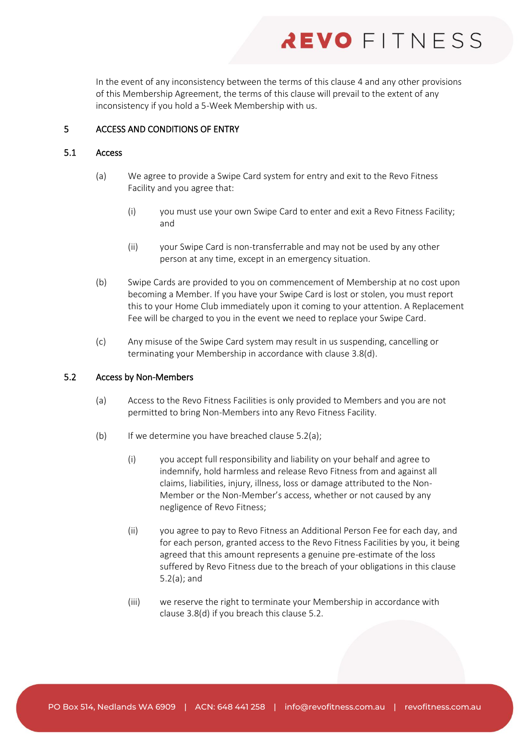In the event of any inconsistency between the terms of this claus[e 4](#page-14-0) and any other provisions of this Membership Agreement, the terms of this clause will prevail to the extent of any inconsistency if you hold a 5-Week Membership with us.

# <span id="page-15-3"></span>5 ACCESS AND CONDITIONS OF ENTRY

# 5.1 Access

- (a) We agree to provide a Swipe Card system for entry and exit to the Revo Fitness Facility and you agree that:
	- (i) you must use your own Swipe Card to enter and exit a Revo Fitness Facility; and
	- (ii) your Swipe Card is non-transferrable and may not be used by any other person at any time, except in an emergency situation.
- <span id="page-15-0"></span>(b) Swipe Cards are provided to you on commencement of Membership at no cost upon becoming a Member. If you have your Swipe Card is lost or stolen, you must report this to your Home Club immediately upon it coming to your attention. A Replacement Fee will be charged to you in the event we need to replace your Swipe Card.
- (c) Any misuse of the Swipe Card system may result in us suspending, cancelling or terminating your Membership in accordance with clause [3.8\(d\).](#page-13-0)

#### <span id="page-15-4"></span><span id="page-15-2"></span>5.2 Access by Non-Members

- (a) Access to the Revo Fitness Facilities is only provided to Members and you are not permitted to bring Non-Members into any Revo Fitness Facility.
- <span id="page-15-1"></span>(b) If we determine you have breached clause  $5.2(a)$ ;
	- (i) you accept full responsibility and liability on your behalf and agree to indemnify, hold harmless and release Revo Fitness from and against all claims, liabilities, injury, illness, loss or damage attributed to the Non-Member or the Non-Member's access, whether or not caused by any negligence of Revo Fitness;
	- (ii) you agree to pay to Revo Fitness an Additional Person Fee for each day, and for each person, granted access to the Revo Fitness Facilities by you, it being agreed that this amount represents a genuine pre-estimate of the loss suffered by Revo Fitness due to the breach of your obligations in this clause [5.2\(a\);](#page-15-4) and
	- (iii) we reserve the right to terminate your Membership in accordance with clause [3.8\(d\)](#page-13-0) if you breach this claus[e 5.2.](#page-15-2)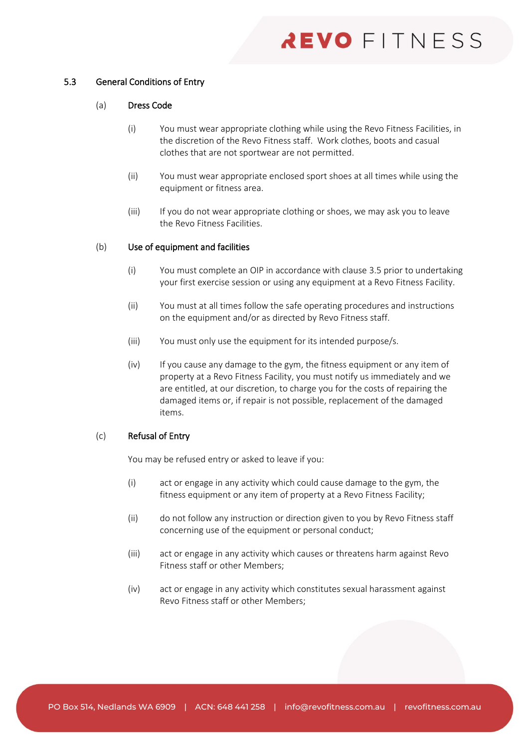# 5.3 General Conditions of Entry

### (a) Dress Code

- (i) You must wear appropriate clothing while using the Revo Fitness Facilities, in the discretion of the Revo Fitness staff. Work clothes, boots and casual clothes that are not sportwear are not permitted.
- (ii) You must wear appropriate enclosed sport shoes at all times while using the equipment or fitness area.
- (iii) If you do not wear appropriate clothing or shoes, we may ask you to leave the Revo Fitness Facilities.

### (b) Use of equipment and facilities

- (i) You must complete an OIP in accordance with claus[e 3.5](#page-9-1) prior to undertaking your first exercise session or using any equipment at a Revo Fitness Facility.
- (ii) You must at all times follow the safe operating procedures and instructions on the equipment and/or as directed by Revo Fitness staff.
- (iii) You must only use the equipment for its intended purpose/s.
- (iv) If you cause any damage to the gym, the fitness equipment or any item of property at a Revo Fitness Facility, you must notify us immediately and we are entitled, at our discretion, to charge you for the costs of repairing the damaged items or, if repair is not possible, replacement of the damaged items.

# (c) Refusal of Entry

You may be refused entry or asked to leave if you:

- (i) act or engage in any activity which could cause damage to the gym, the fitness equipment or any item of property at a Revo Fitness Facility;
- (ii) do not follow any instruction or direction given to you by Revo Fitness staff concerning use of the equipment or personal conduct;
- (iii) act or engage in any activity which causes or threatens harm against Revo Fitness staff or other Members;
- (iv) act or engage in any activity which constitutes sexual harassment against Revo Fitness staff or other Members;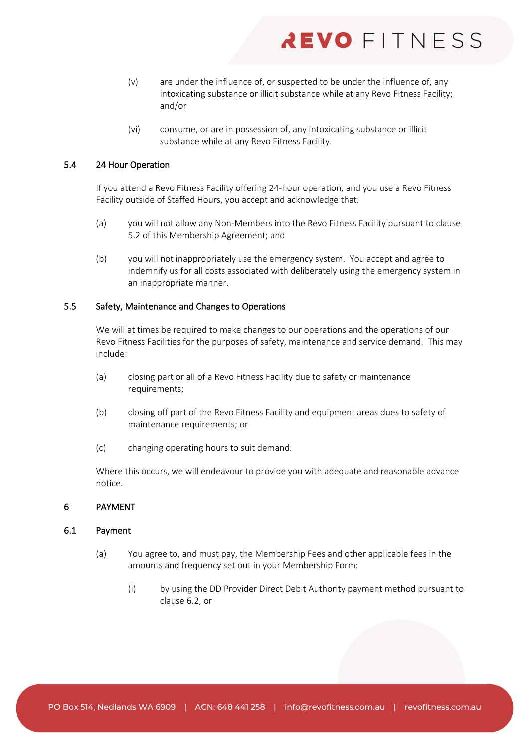- (v) are under the influence of, or suspected to be under the influence of, any intoxicating substance or illicit substance while at any Revo Fitness Facility; and/or
- (vi) consume, or are in possession of, any intoxicating substance or illicit substance while at any Revo Fitness Facility.

# <span id="page-17-1"></span>5.4 24 Hour Operation

If you attend a Revo Fitness Facility offering 24-hour operation, and you use a Revo Fitness Facility outside of Staffed Hours, you accept and acknowledge that:

- (a) you will not allow any Non-Members into the Revo Fitness Facility pursuant to clause [5.2](#page-15-2) of this Membership Agreement; and
- (b) you will not inappropriately use the emergency system. You accept and agree to indemnify us for all costs associated with deliberately using the emergency system in an inappropriate manner.

# 5.5 Safety, Maintenance and Changes to Operations

We will at times be required to make changes to our operations and the operations of our Revo Fitness Facilities for the purposes of safety, maintenance and service demand. This may include:

- (a) closing part or all of a Revo Fitness Facility due to safety or maintenance requirements;
- (b) closing off part of the Revo Fitness Facility and equipment areas dues to safety of maintenance requirements; or
- (c) changing operating hours to suit demand.

Where this occurs, we will endeavour to provide you with adequate and reasonable advance notice.

### <span id="page-17-0"></span>6 PAYMENT

### <span id="page-17-2"></span>6.1 Payment

- (a) You agree to, and must pay, the Membership Fees and other applicable fees in the amounts and frequency set out in your Membership Form:
	- (i) by using the DD Provider Direct Debit Authority payment method pursuant to clause [6.2,](#page-18-1) or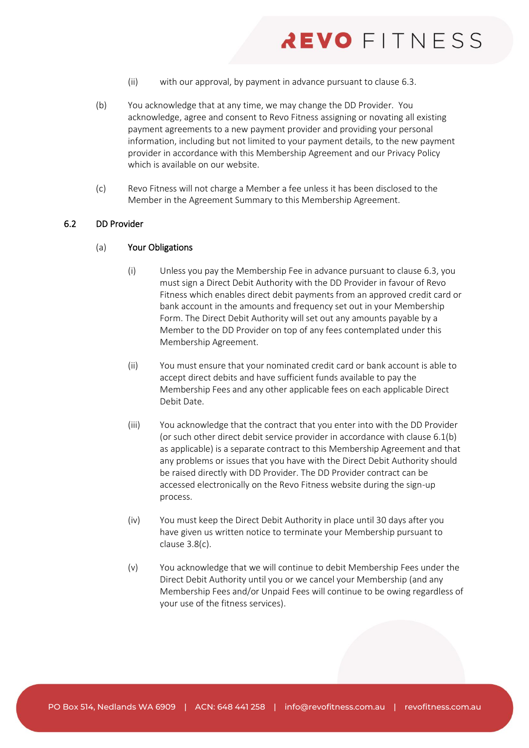- (ii) with our approval, by payment in advance pursuant to clause [6.3.](#page-19-1)
- <span id="page-18-2"></span>(b) You acknowledge that at any time, we may change the DD Provider. You acknowledge, agree and consent to Revo Fitness assigning or novating all existing payment agreements to a new payment provider and providing your personal information, including but not limited to your payment details, to the new payment provider in accordance with this Membership Agreement and our Privacy Policy which is available on our website.
- (c) Revo Fitness will not charge a Member a fee unless it has been disclosed to the Member in the Agreement Summary to this Membership Agreement.

### <span id="page-18-1"></span><span id="page-18-0"></span>6.2 DD Provider

### (a) Your Obligations

- (i) Unless you pay the Membership Fee in advance pursuant to clause [6.3,](#page-19-1) you must sign a Direct Debit Authority with the DD Provider in favour of Revo Fitness which enables direct debit payments from an approved credit card or bank account in the amounts and frequency set out in your Membership Form. The Direct Debit Authority will set out any amounts payable by a Member to the DD Provider on top of any fees contemplated under this Membership Agreement.
- (ii) You must ensure that your nominated credit card or bank account is able to accept direct debits and have sufficient funds available to pay the Membership Fees and any other applicable fees on each applicable Direct Debit Date.
- (iii) You acknowledge that the contract that you enter into with the DD Provider (or such other direct debit service provider in accordance with clause [6.1\(b\)](#page-18-2) as applicable) is a separate contract to this Membership Agreement and that any problems or issues that you have with the Direct Debit Authority should be raised directly with DD Provider. The DD Provider contract can be accessed electronically on the Revo Fitness website during the sign-up process.
- (iv) You must keep the Direct Debit Authority in place until 30 days after you have given us written notice to terminate your Membership pursuant to clause [3.8\(c\).](#page-12-0)
- (v) You acknowledge that we will continue to debit Membership Fees under the Direct Debit Authority until you or we cancel your Membership (and any Membership Fees and/or Unpaid Fees will continue to be owing regardless of your use of the fitness services).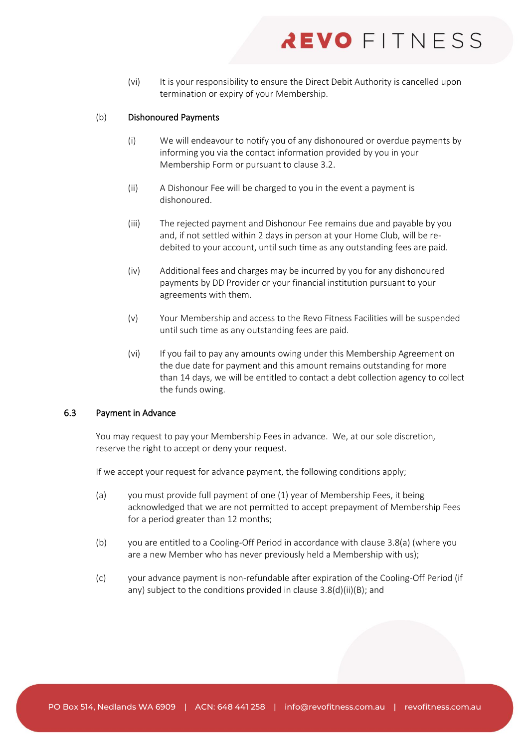(vi) It is your responsibility to ensure the Direct Debit Authority is cancelled upon termination or expiry of your Membership.

# (b) Dishonoured Payments

- (i) We will endeavour to notify you of any dishonoured or overdue payments by informing you via the contact information provided by you in your Membership Form or pursuant to clause [3.2.](#page-8-0)
- <span id="page-19-0"></span>(ii) A Dishonour Fee will be charged to you in the event a payment is dishonoured.
- (iii) The rejected payment and Dishonour Fee remains due and payable by you and, if not settled within 2 days in person at your Home Club, will be redebited to your account, until such time as any outstanding fees are paid.
- (iv) Additional fees and charges may be incurred by you for any dishonoured payments by DD Provider or your financial institution pursuant to your agreements with them.
- (v) Your Membership and access to the Revo Fitness Facilities will be suspended until such time as any outstanding fees are paid.
- (vi) If you fail to pay any amounts owing under this Membership Agreement on the due date for payment and this amount remains outstanding for more than 14 days, we will be entitled to contact a debt collection agency to collect the funds owing.

# <span id="page-19-1"></span>6.3 Payment in Advance

You may request to pay your Membership Fees in advance. We, at our sole discretion, reserve the right to accept or deny your request.

If we accept your request for advance payment, the following conditions apply;

- (a) you must provide full payment of one (1) year of Membership Fees, it being acknowledged that we are not permitted to accept prepayment of Membership Fees for a period greater than 12 months;
- (b) you are entitled to a Cooling-Off Period in accordance with clause [3.8\(a\)](#page-11-0) (where you are a new Member who has never previously held a Membership with us);
- <span id="page-19-2"></span>(c) your advance payment is non-refundable after expiration of the Cooling-Off Period (if any) subject to the conditions provided in clause [3.8\(d\)\(ii\)\(B\);](#page-14-3) and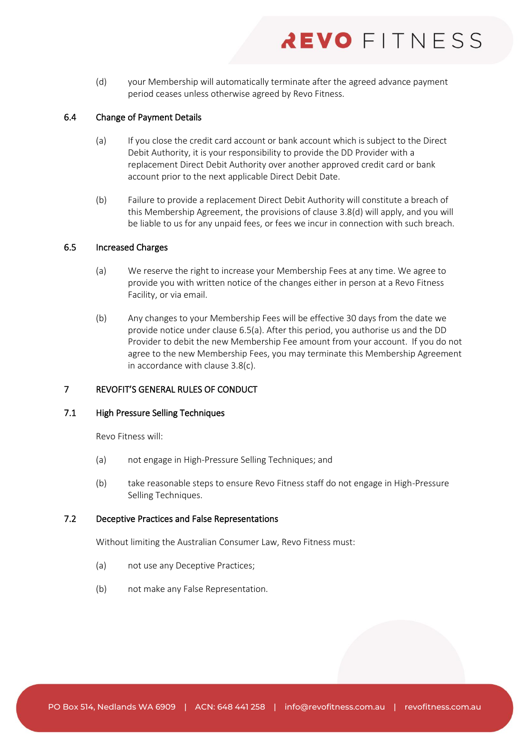(d) your Membership will automatically terminate after the agreed advance payment period ceases unless otherwise agreed by Revo Fitness.

# 6.4 Change of Payment Details

- (a) If you close the credit card account or bank account which is subject to the Direct Debit Authority, it is your responsibility to provide the DD Provider with a replacement Direct Debit Authority over another approved credit card or bank account prior to the next applicable Direct Debit Date.
- (b) Failure to provide a replacement Direct Debit Authority will constitute a breach of this Membership Agreement, the provisions of clause [3.8\(d\)](#page-13-0) will apply, and you will be liable to us for any unpaid fees, or fees we incur in connection with such breach.

### <span id="page-20-0"></span>6.5 Increased Charges

- (a) We reserve the right to increase your Membership Fees at any time. We agree to provide you with written notice of the changes either in person at a Revo Fitness Facility, or via email.
- (b) Any changes to your Membership Fees will be effective 30 days from the date we provide notice under clause [6.5\(a\).](#page-20-0) After this period, you authorise us and the DD Provider to debit the new Membership Fee amount from your account. If you do not agree to the new Membership Fees, you may terminate this Membership Agreement in accordance with clause [3.8\(c\).](#page-12-0)

# 7 REVOFIT'S GENERAL RULES OF CONDUCT

# 7.1 High Pressure Selling Techniques

Revo Fitness will:

- (a) not engage in High-Pressure Selling Techniques; and
- (b) take reasonable steps to ensure Revo Fitness staff do not engage in High-Pressure Selling Techniques.

### 7.2 Deceptive Practices and False Representations

Without limiting the Australian Consumer Law, Revo Fitness must:

- (a) not use any Deceptive Practices;
- (b) not make any False Representation.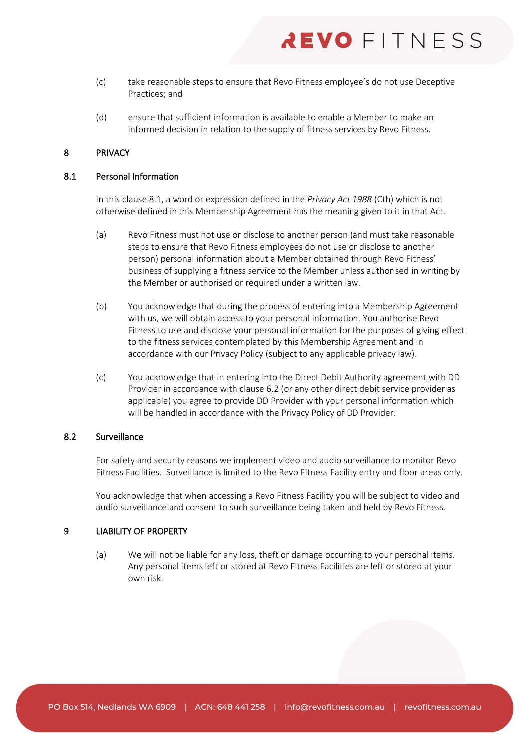- (c) take reasonable steps to ensure that Revo Fitness employee's do not use Deceptive Practices; and
- (d) ensure that sufficient information is available to enable a Member to make an informed decision in relation to the supply of fitness services by Revo Fitness.

# 8 PRIVACY

### <span id="page-21-0"></span>8.1 Personal Information

In this claus[e 8.1,](#page-21-0) a word or expression defined in the *Privacy Act 1988* (Cth) which is not otherwise defined in this Membership Agreement has the meaning given to it in that Act.

- (a) Revo Fitness must not use or disclose to another person (and must take reasonable steps to ensure that Revo Fitness employees do not use or disclose to another person) personal information about a Member obtained through Revo Fitness' business of supplying a fitness service to the Member unless authorised in writing by the Member or authorised or required under a written law.
- (b) You acknowledge that during the process of entering into a Membership Agreement with us, we will obtain access to your personal information. You authorise Revo Fitness to use and disclose your personal information for the purposes of giving effect to the fitness services contemplated by this Membership Agreement and in accordance with our Privacy Policy (subject to any applicable privacy law).
- (c) You acknowledge that in entering into the Direct Debit Authority agreement with DD Provider in accordance with clause [6.2](#page-18-1) (or any other direct debit service provider as applicable) you agree to provide DD Provider with your personal information which will be handled in accordance with the Privacy Policy of DD Provider.

### 8.2 Surveillance

For safety and security reasons we implement video and audio surveillance to monitor Revo Fitness Facilities. Surveillance is limited to the Revo Fitness Facility entry and floor areas only.

You acknowledge that when accessing a Revo Fitness Facility you will be subject to video and audio surveillance and consent to such surveillance being taken and held by Revo Fitness.

### 9 LIABILITY OF PROPERTY

(a) We will not be liable for any loss, theft or damage occurring to your personal items. Any personal items left or stored at Revo Fitness Facilities are left or stored at your own risk.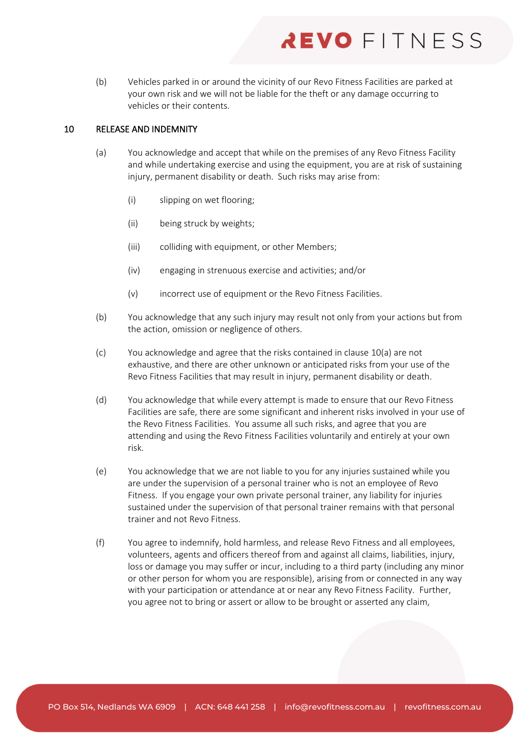(b) Vehicles parked in or around the vicinity of our Revo Fitness Facilities are parked at your own risk and we will not be liable for the theft or any damage occurring to vehicles or their contents.

# <span id="page-22-2"></span><span id="page-22-1"></span>10 RELEASE AND INDEMNITY

- (a) You acknowledge and accept that while on the premises of any Revo Fitness Facility and while undertaking exercise and using the equipment, you are at risk of sustaining injury, permanent disability or death. Such risks may arise from:
	- (i) slipping on wet flooring;
	- (ii) being struck by weights;
	- (iii) colliding with equipment, or other Members;
	- (iv) engaging in strenuous exercise and activities; and/or
	- (v) incorrect use of equipment or the Revo Fitness Facilities.
- (b) You acknowledge that any such injury may result not only from your actions but from the action, omission or negligence of others.
- (c) You acknowledge and agree that the risks contained in claus[e 10\(a\)](#page-22-1) are not exhaustive, and there are other unknown or anticipated risks from your use of the Revo Fitness Facilities that may result in injury, permanent disability or death.
- (d) You acknowledge that while every attempt is made to ensure that our Revo Fitness Facilities are safe, there are some significant and inherent risks involved in your use of the Revo Fitness Facilities. You assume all such risks, and agree that you are attending and using the Revo Fitness Facilities voluntarily and entirely at your own risk.
- <span id="page-22-0"></span>(e) You acknowledge that we are not liable to you for any injuries sustained while you are under the supervision of a personal trainer who is not an employee of Revo Fitness. If you engage your own private personal trainer, any liability for injuries sustained under the supervision of that personal trainer remains with that personal trainer and not Revo Fitness.
- (f) You agree to indemnify, hold harmless, and release Revo Fitness and all employees, volunteers, agents and officers thereof from and against all claims, liabilities, injury, loss or damage you may suffer or incur, including to a third party (including any minor or other person for whom you are responsible), arising from or connected in any way with your participation or attendance at or near any Revo Fitness Facility. Further, you agree not to bring or assert or allow to be brought or asserted any claim,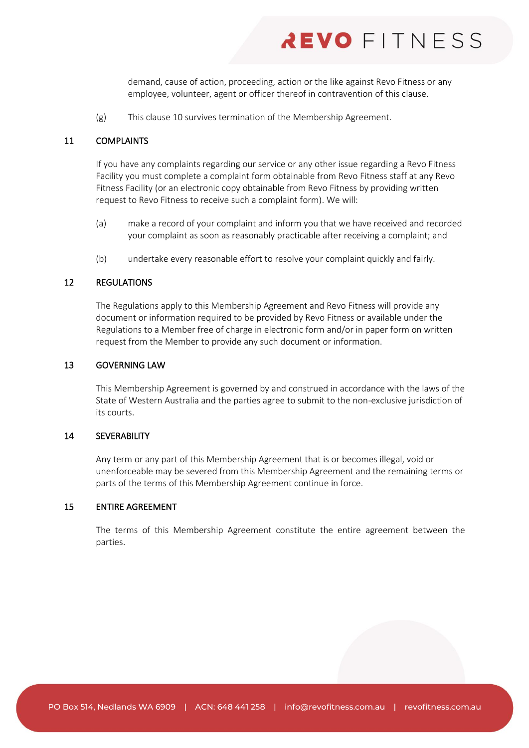demand, cause of action, proceeding, action or the like against Revo Fitness or any employee, volunteer, agent or officer thereof in contravention of this clause.

(g) This clause [10](#page-22-2) survives termination of the Membership Agreement.

# 11 COMPLAINTS

If you have any complaints regarding our service or any other issue regarding a Revo Fitness Facility you must complete a complaint form obtainable from Revo Fitness staff at any Revo Fitness Facility (or an electronic copy obtainable from Revo Fitness by providing written request to Revo Fitness to receive such a complaint form). We will:

- (a) make a record of your complaint and inform you that we have received and recorded your complaint as soon as reasonably practicable after receiving a complaint; and
- (b) undertake every reasonable effort to resolve your complaint quickly and fairly.

#### 12 REGULATIONS

The Regulations apply to this Membership Agreement and Revo Fitness will provide any document or information required to be provided by Revo Fitness or available under the Regulations to a Member free of charge in electronic form and/or in paper form on written request from the Member to provide any such document or information.

# 13 GOVERNING LAW

This Membership Agreement is governed by and construed in accordance with the laws of the State of Western Australia and the parties agree to submit to the non-exclusive jurisdiction of its courts.

# 14 SEVERABILITY

Any term or any part of this Membership Agreement that is or becomes illegal, void or unenforceable may be severed from this Membership Agreement and the remaining terms or parts of the terms of this Membership Agreement continue in force.

### 15 ENTIRE AGREEMENT

The terms of this Membership Agreement constitute the entire agreement between the parties.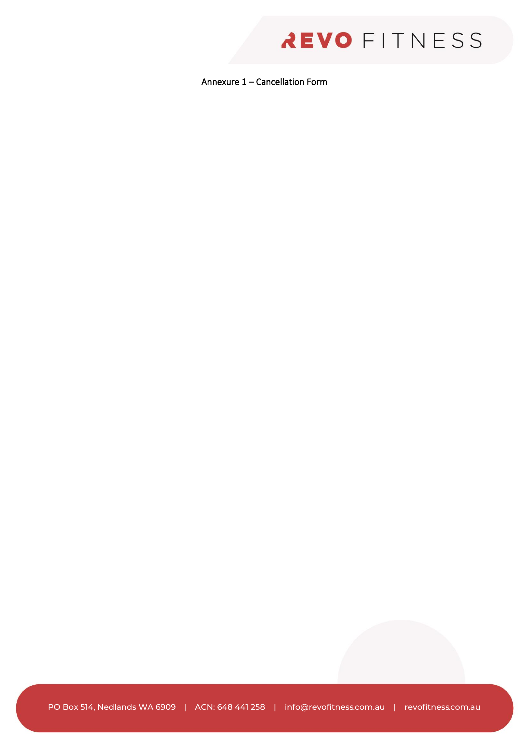Annexure 1 – Cancellation Form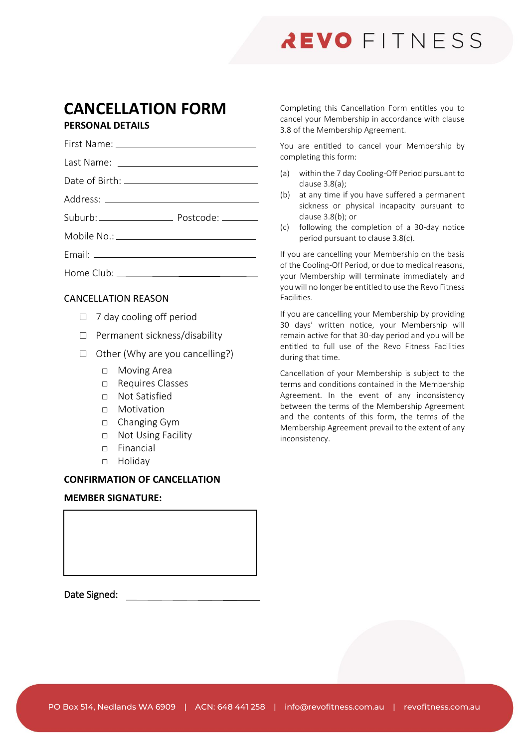# **CANCELLATION FORM PERSONAL DETAILS**

| <u>I LIVULIAL DE IAILU</u> |  |
|----------------------------|--|
|                            |  |
|                            |  |
|                            |  |
|                            |  |
|                            |  |
|                            |  |
|                            |  |
|                            |  |
|                            |  |

# CANCELLATION REASON

- $\Box$  7 day cooling off period
- □ Permanent sickness/disability
- $\Box$  Other (Why are you cancelling?)
	- □ Moving Area
	- □ Requires Classes
	- □ Not Satisfied
	- □ Motivation
	- □ Changing Gym
	- □ Not Using Facility
	- □ Financial
	- □ Holiday

# **CONFIRMATION OF CANCELLATION**

### **MEMBER SIGNATURE:**

Date Signed:

Completing this Cancellation Form entitles you to cancel your Membership in accordance with clause [3.8](#page-11-2) of the Membership Agreement.

You are entitled to cancel your Membership by completing this form:

- (a) within the 7 day Cooling-Off Period pursuant to clause [3.8\(a\);](#page-11-0)
- (b) at any time if you have suffered a permanent sickness or physical incapacity pursuant to clause [3.8\(b\);](#page-11-5) or
- (c) following the completion of a 30-day notice period pursuant to claus[e 3.8\(c\).](#page-12-0)

If you are cancelling your Membership on the basis of the Cooling-Off Period, or due to medical reasons, your Membership will terminate immediately and you will no longer be entitled to use the Revo Fitness Facilities.

If you are cancelling your Membership by providing 30 days' written notice, your Membership will remain active for that 30-day period and you will be entitled to full use of the Revo Fitness Facilities during that time.

Cancellation of your Membership is subject to the terms and conditions contained in the Membership Agreement. In the event of any inconsistency between the terms of the Membership Agreement and the contents of this form, the terms of the Membership Agreement prevail to the extent of any inconsistency.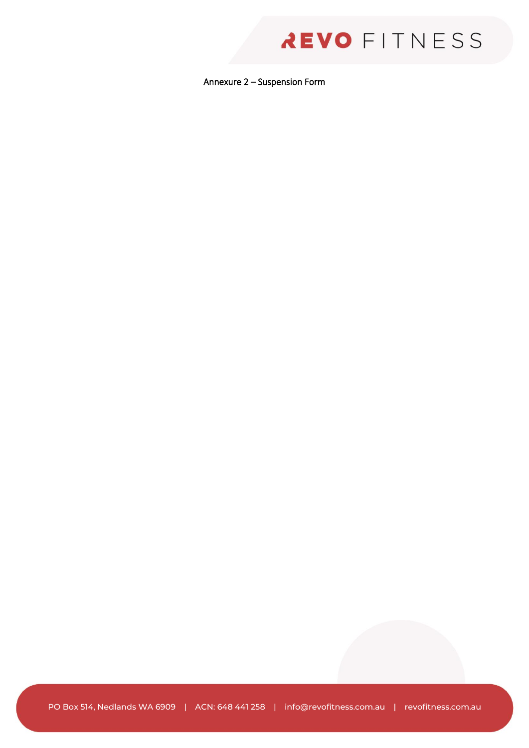Annexure 2 – Suspension Form